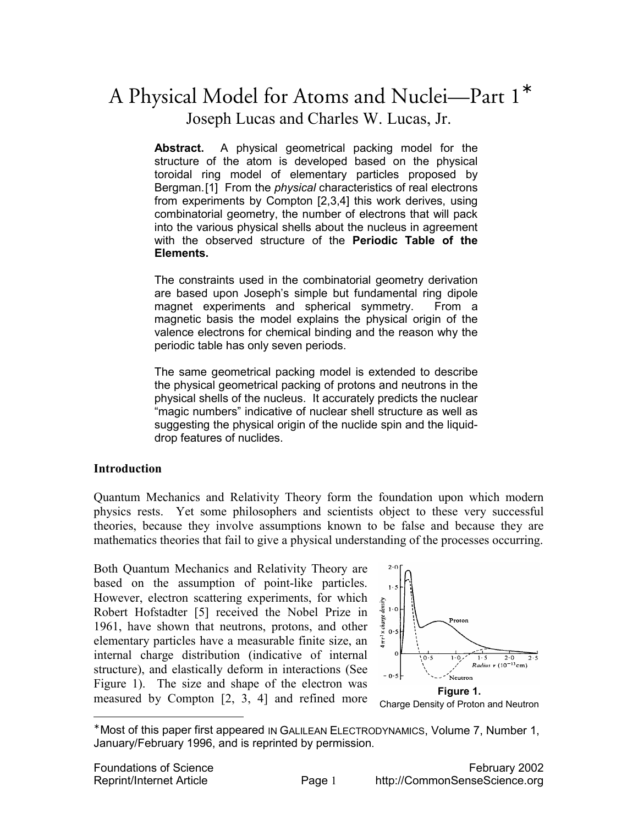# A Physical Model for Atoms and Nuclei—Part 1<sup>∗</sup> Joseph Lucas and Charles W. Lucas, Jr.

**Abstract.** A physical geometrical packing model for the structure of the atom is developed based on the physical toroidal ring model of elementary particles proposed by Bergman.[1] From the *physical* characteristics of real electrons from experiments by Compton [2,3,4] this work derives, using combinatorial geometry, the number of electrons that will pack into the various physical shells about the nucleus in agreement with the observed structure of the **Periodic Table of the Elements.**

The constraints used in the combinatorial geometry derivation are based upon Joseph's simple but fundamental ring dipole magnet experiments and spherical symmetry. From a magnetic basis the model explains the physical origin of the valence electrons for chemical binding and the reason why the periodic table has only seven periods.

The same geometrical packing model is extended to describe the physical geometrical packing of protons and neutrons in the physical shells of the nucleus. It accurately predicts the nuclear "magic numbers" indicative of nuclear shell structure as well as suggesting the physical origin of the nuclide spin and the liquiddrop features of nuclides.

## **Introduction**

Quantum Mechanics and Relativity Theory form the foundation upon which modern physics rests. Yet some philosophers and scientists object to these very successful theories, because they involve assumptions known to be false and because they are mathematics theories that fail to give a physical understanding of the processes occurring.

Both Quantum Mechanics and Relativity Theory are based on the assumption of point-like particles. However, electron scattering experiments, for which Robert Hofstadter [5] received the Nobel Prize in 1961, have shown that neutrons, protons, and other elementary particles have a measurable finite size, an internal charge distribution (indicative of internal structure), and elastically deform in interactions (See Figure 1). The size and shape of the electron was measured by Compton [2, 3, 4] and refined more



<sup>∗</sup> Most of this paper first appeared IN GALILEAN ELECTRODYNAMICS, Volume 7, Number 1, January/February 1996, and is reprinted by permission.

 $\overline{a}$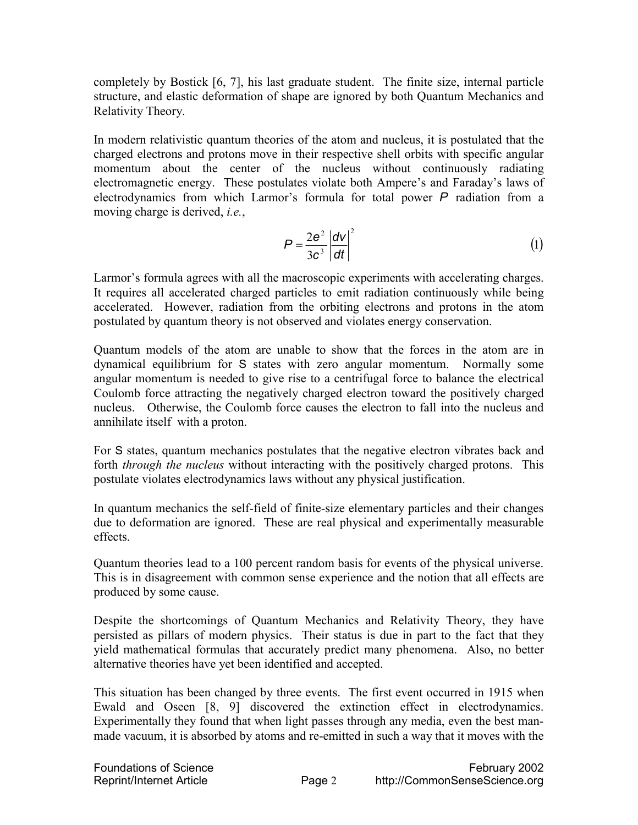completely by Bostick [6, 7], his last graduate student. The finite size, internal particle structure, and elastic deformation of shape are ignored by both Quantum Mechanics and Relativity Theory.

In modern relativistic quantum theories of the atom and nucleus, it is postulated that the charged electrons and protons move in their respective shell orbits with specific angular momentum about the center of the nucleus without continuously radiating electromagnetic energy. These postulates violate both Ampere's and Faraday's laws of electrodynamics from which Larmor's formula for total power *P* radiation from a moving charge is derived, *i.e.*,

$$
P = \frac{2e^2}{3c^3} \left| \frac{dV}{dt} \right|^2 \tag{1}
$$

Larmor's formula agrees with all the macroscopic experiments with accelerating charges. It requires all accelerated charged particles to emit radiation continuously while being accelerated. However, radiation from the orbiting electrons and protons in the atom postulated by quantum theory is not observed and violates energy conservation.

Quantum models of the atom are unable to show that the forces in the atom are in dynamical equilibrium for S states with zero angular momentum. Normally some angular momentum is needed to give rise to a centrifugal force to balance the electrical Coulomb force attracting the negatively charged electron toward the positively charged nucleus. Otherwise, the Coulomb force causes the electron to fall into the nucleus and annihilate itself with a proton.

For S states, quantum mechanics postulates that the negative electron vibrates back and forth *through the nucleus* without interacting with the positively charged protons. This postulate violates electrodynamics laws without any physical justification.

In quantum mechanics the self-field of finite-size elementary particles and their changes due to deformation are ignored. These are real physical and experimentally measurable effects.

Quantum theories lead to a 100 percent random basis for events of the physical universe. This is in disagreement with common sense experience and the notion that all effects are produced by some cause.

Despite the shortcomings of Quantum Mechanics and Relativity Theory, they have persisted as pillars of modern physics. Their status is due in part to the fact that they yield mathematical formulas that accurately predict many phenomena. Also, no better alternative theories have yet been identified and accepted.

This situation has been changed by three events. The first event occurred in 1915 when Ewald and Oseen [8, 9] discovered the extinction effect in electrodynamics. Experimentally they found that when light passes through any media, even the best manmade vacuum, it is absorbed by atoms and re-emitted in such a way that it moves with the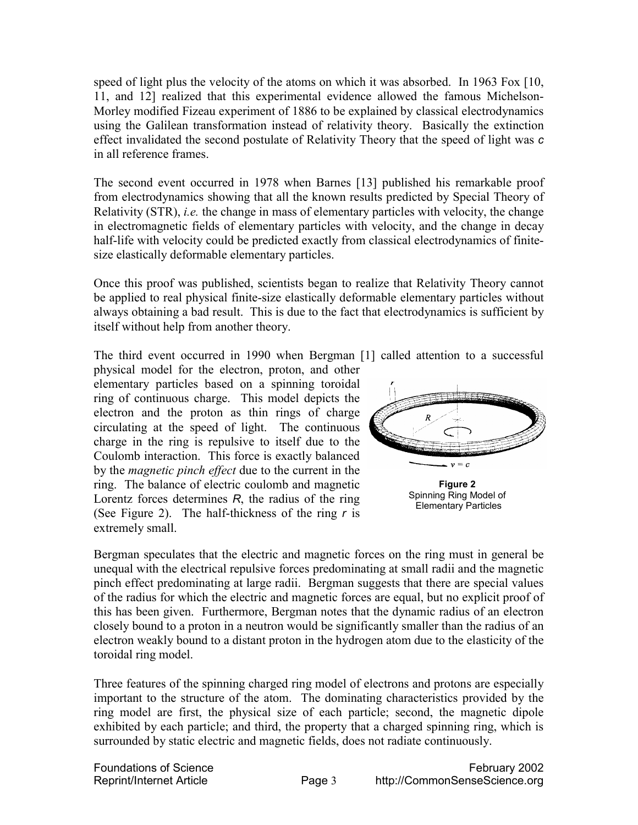speed of light plus the velocity of the atoms on which it was absorbed. In 1963 Fox [10, 11, and 12] realized that this experimental evidence allowed the famous Michelson-Morley modified Fizeau experiment of 1886 to be explained by classical electrodynamics using the Galilean transformation instead of relativity theory. Basically the extinction effect invalidated the second postulate of Relativity Theory that the speed of light was *c* in all reference frames.

The second event occurred in 1978 when Barnes [13] published his remarkable proof from electrodynamics showing that all the known results predicted by Special Theory of Relativity (STR), *i.e.* the change in mass of elementary particles with velocity, the change in electromagnetic fields of elementary particles with velocity, and the change in decay half-life with velocity could be predicted exactly from classical electrodynamics of finitesize elastically deformable elementary particles.

Once this proof was published, scientists began to realize that Relativity Theory cannot be applied to real physical finite-size elastically deformable elementary particles without always obtaining a bad result. This is due to the fact that electrodynamics is sufficient by itself without help from another theory.

The third event occurred in 1990 when Bergman [1] called attention to a successful

physical model for the electron, proton, and other elementary particles based on a spinning toroidal ring of continuous charge. This model depicts the electron and the proton as thin rings of charge circulating at the speed of light. The continuous charge in the ring is repulsive to itself due to the Coulomb interaction. This force is exactly balanced by the *magnetic pinch effect* due to the current in the ring. The balance of electric coulomb and magnetic Lorentz forces determines *R*, the radius of the ring (See Figure 2). The half-thickness of the ring *r* is extremely small.



Bergman speculates that the electric and magnetic forces on the ring must in general be unequal with the electrical repulsive forces predominating at small radii and the magnetic pinch effect predominating at large radii. Bergman suggests that there are special values of the radius for which the electric and magnetic forces are equal, but no explicit proof of this has been given. Furthermore, Bergman notes that the dynamic radius of an electron closely bound to a proton in a neutron would be significantly smaller than the radius of an electron weakly bound to a distant proton in the hydrogen atom due to the elasticity of the toroidal ring model.

Three features of the spinning charged ring model of electrons and protons are especially important to the structure of the atom. The dominating characteristics provided by the ring model are first, the physical size of each particle; second, the magnetic dipole exhibited by each particle; and third, the property that a charged spinning ring, which is surrounded by static electric and magnetic fields, does not radiate continuously.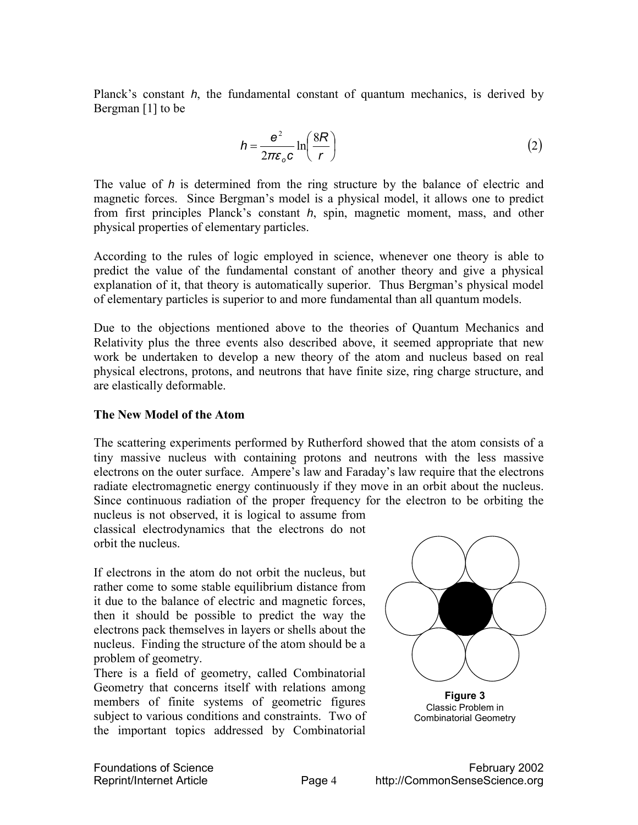Planck's constant *h*, the fundamental constant of quantum mechanics, is derived by Bergman [1] to be

$$
h = \frac{e^2}{2\pi\varepsilon_o c} \ln\left(\frac{8R}{r}\right) \tag{2}
$$

The value of *h* is determined from the ring structure by the balance of electric and magnetic forces. Since Bergman's model is a physical model, it allows one to predict from first principles Planck's constant *h*, spin, magnetic moment, mass, and other physical properties of elementary particles.

According to the rules of logic employed in science, whenever one theory is able to predict the value of the fundamental constant of another theory and give a physical explanation of it, that theory is automatically superior. Thus Bergman's physical model of elementary particles is superior to and more fundamental than all quantum models.

Due to the objections mentioned above to the theories of Quantum Mechanics and Relativity plus the three events also described above, it seemed appropriate that new work be undertaken to develop a new theory of the atom and nucleus based on real physical electrons, protons, and neutrons that have finite size, ring charge structure, and are elastically deformable.

#### **The New Model of the Atom**

The scattering experiments performed by Rutherford showed that the atom consists of a tiny massive nucleus with containing protons and neutrons with the less massive electrons on the outer surface. Ampere's law and Faraday's law require that the electrons radiate electromagnetic energy continuously if they move in an orbit about the nucleus. Since continuous radiation of the proper frequency for the electron to be orbiting the

nucleus is not observed, it is logical to assume from classical electrodynamics that the electrons do not orbit the nucleus.

If electrons in the atom do not orbit the nucleus, but rather come to some stable equilibrium distance from it due to the balance of electric and magnetic forces, then it should be possible to predict the way the electrons pack themselves in layers or shells about the nucleus. Finding the structure of the atom should be a problem of geometry.

There is a field of geometry, called Combinatorial Geometry that concerns itself with relations among members of finite systems of geometric figures subject to various conditions and constraints. Two of the important topics addressed by Combinatorial

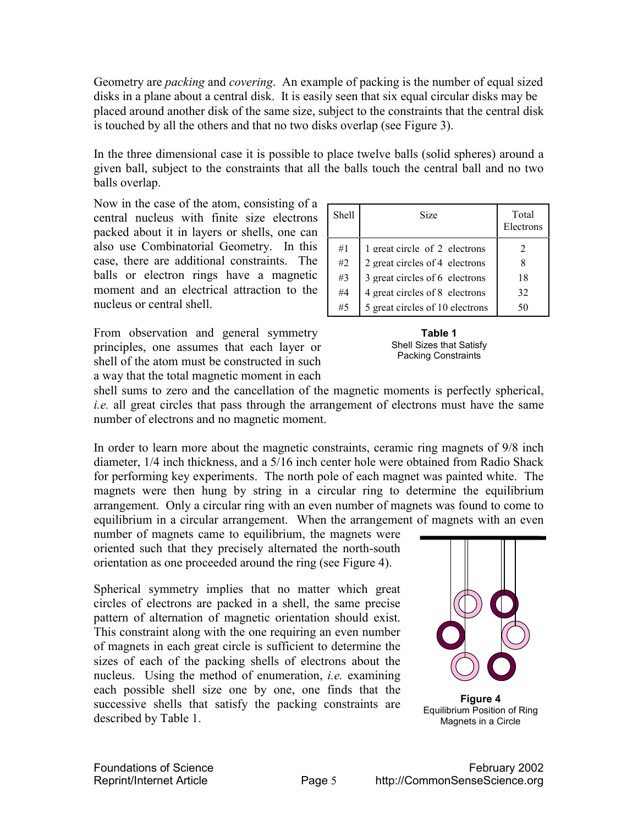Geometry are *packing* and *covering*. An example of packing is the number of equal sized disks in a plane about a central disk. It is easily seen that six equal circular disks may be placed around another disk of the same size, subject to the constraints that the central disk is touched by all the others and that no two disks overlap (see Figure 3).

In the three dimensional case it is possible to place twelve balls (solid spheres) around a given ball, subject to the constraints that all the balls touch the central ball and no two balls overlap.

Now in the case of the atom, consisting of a central nucleus with finite size electrons packed about it in layers or shells, one can also use Combinatorial Geometry. In this case, there are additional constraints. The balls or electron rings have a magnetic moment and an electrical attraction to the nucleus or central shell.

From observation and general symmetry principles, one assumes that each layer or shell of the atom must be constructed in such a way that the total magnetic moment in each

| Shell | Size                            | Total<br>Electrons |
|-------|---------------------------------|--------------------|
| #1    | 1 great circle of 2 electrons   |                    |
| #2    | 2 great circles of 4 electrons  |                    |
| #3    | 3 great circles of 6 electrons  | 18                 |
| #4    | 4 great circles of 8 electrons  | 32                 |
| #5    | 5 great circles of 10 electrons | 50                 |



shell sums to zero and the cancellation of the magnetic moments is perfectly spherical, *i.e.* all great circles that pass through the arrangement of electrons must have the same number of electrons and no magnetic moment.

In order to learn more about the magnetic constraints, ceramic ring magnets of 9/8 inch diameter, 1/4 inch thickness, and a 5/16 inch center hole were obtained from Radio Shack for performing key experiments. The north pole of each magnet was painted white. The magnets were then hung by string in a circular ring to determine the equilibrium arrangement. Only a circular ring with an even number of magnets was found to come to equilibrium in a circular arrangement. When the arrangement of magnets with an even

number of magnets came to equilibrium, the magnets were oriented such that they precisely alternated the north-south orientation as one proceeded around the ring (see Figure 4).

Spherical symmetry implies that no matter which great circles of electrons are packed in a shell, the same precise pattern of alternation of magnetic orientation should exist. This constraint along with the one requiring an even number of magnets in each great circle is sufficient to determine the sizes of each of the packing shells of electrons about the nucleus. Using the method of enumeration, *i.e.* examining each possible shell size one by one, one finds that the successive shells that satisfy the packing constraints are described by Table 1.



Equilibrium Position of Ring Magnets in a Circle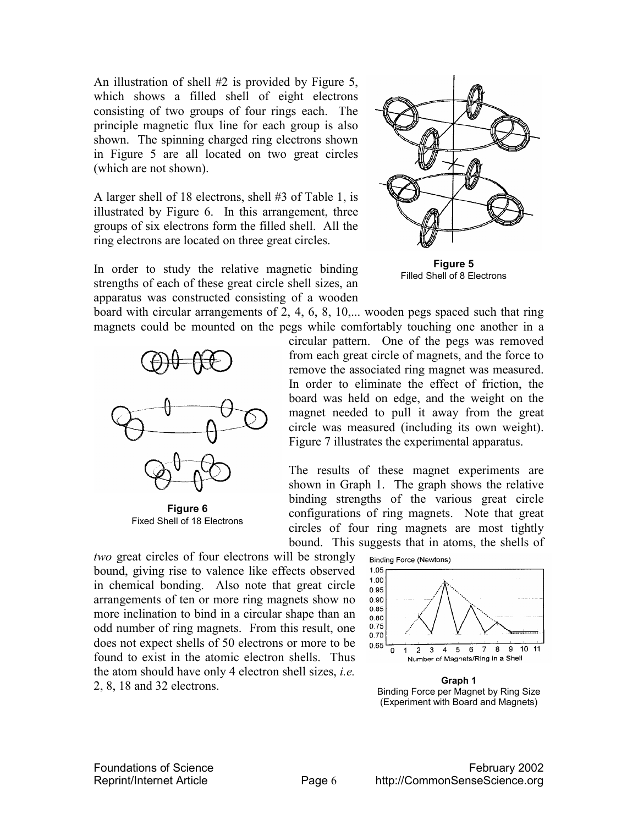An illustration of shell #2 is provided by Figure 5, which shows a filled shell of eight electrons consisting of two groups of four rings each. The principle magnetic flux line for each group is also shown. The spinning charged ring electrons shown in Figure 5 are all located on two great circles (which are not shown).

A larger shell of 18 electrons, shell #3 of Table 1, is illustrated by Figure 6. In this arrangement, three groups of six electrons form the filled shell. All the ring electrons are located on three great circles.



In order to study the relative magnetic binding strengths of each of these great circle shell sizes, an apparatus was constructed consisting of a wooden

**Figure 5**  Filled Shell of 8 Electrons

board with circular arrangements of 2, 4, 6, 8, 10,... wooden pegs spaced such that ring magnets could be mounted on the pegs while comfortably touching one another in a



**Figure 6**  Fixed Shell of 18 Electrons

circular pattern. One of the pegs was removed from each great circle of magnets, and the force to remove the associated ring magnet was measured. In order to eliminate the effect of friction, the board was held on edge, and the weight on the magnet needed to pull it away from the great circle was measured (including its own weight). Figure 7 illustrates the experimental apparatus.

The results of these magnet experiments are shown in Graph 1. The graph shows the relative binding strengths of the various great circle configurations of ring magnets. Note that great circles of four ring magnets are most tightly bound. This suggests that in atoms, the shells of

*two* great circles of four electrons will be strongly bound, giving rise to valence like effects observed in chemical bonding. Also note that great circle arrangements of ten or more ring magnets show no more inclination to bind in a circular shape than an odd number of ring magnets. From this result, one does not expect shells of 50 electrons or more to be found to exist in the atomic electron shells. Thus the atom should have only 4 electron shell sizes, *i.e.* 2, 8, 18 and 32 electrons.



**Graph 1**  Binding Force per Magnet by Ring Size (Experiment with Board and Magnets)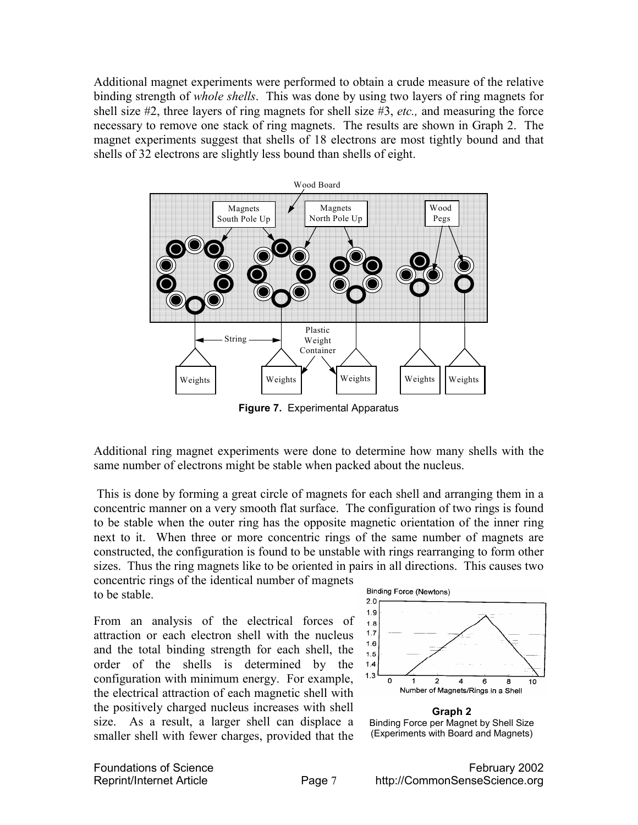Additional magnet experiments were performed to obtain a crude measure of the relative binding strength of *whole shells*. This was done by using two layers of ring magnets for shell size #2, three layers of ring magnets for shell size #3, *etc.,* and measuring the force necessary to remove one stack of ring magnets. The results are shown in Graph 2. The magnet experiments suggest that shells of 18 electrons are most tightly bound and that shells of 32 electrons are slightly less bound than shells of eight.



**Figure 7.** Experimental Apparatus

Additional ring magnet experiments were done to determine how many shells with the same number of electrons might be stable when packed about the nucleus.

 This is done by forming a great circle of magnets for each shell and arranging them in a concentric manner on a very smooth flat surface. The configuration of two rings is found to be stable when the outer ring has the opposite magnetic orientation of the inner ring next to it. When three or more concentric rings of the same number of magnets are constructed, the configuration is found to be unstable with rings rearranging to form other sizes. Thus the ring magnets like to be oriented in pairs in all directions. This causes two concentric rings of the identical number of magnets

to be stable.

From an analysis of the electrical forces of attraction or each electron shell with the nucleus and the total binding strength for each shell, the order of the shells is determined by the configuration with minimum energy. For example, the electrical attraction of each magnetic shell with the positively charged nucleus increases with shell size. As a result, a larger shell can displace a smaller shell with fewer charges, provided that the



**Graph 2**  Binding Force per Magnet by Shell Size (Experiments with Board and Magnets)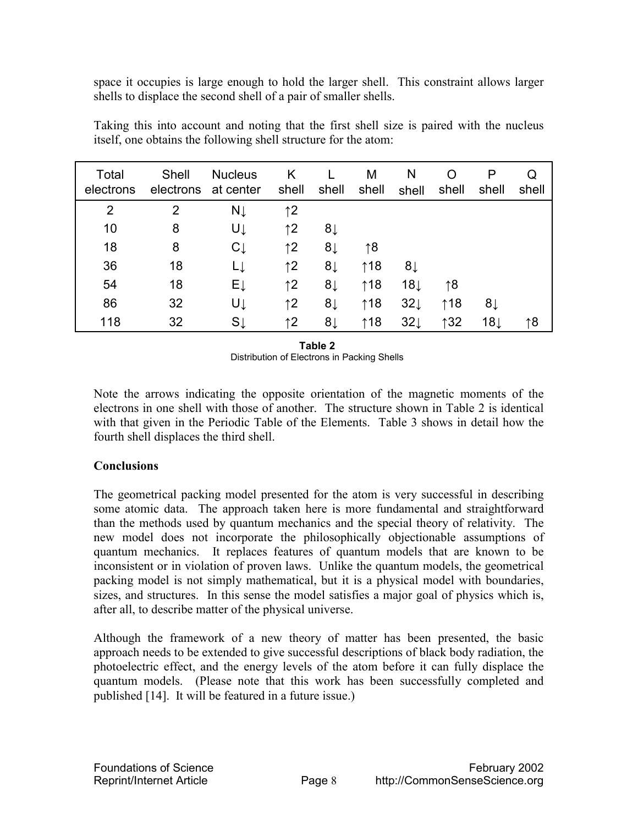space it occupies is large enough to hold the larger shell. This constraint allows larger shells to displace the second shell of a pair of smaller shells.

| Total<br>electrons | Shell<br>electrons | <b>Nucleus</b><br>at center | K<br>shell   | shell | M<br>shell    | N<br>shell      | O<br>shell    | P<br>shell     | Q<br>shell |
|--------------------|--------------------|-----------------------------|--------------|-------|---------------|-----------------|---------------|----------------|------------|
| $\overline{2}$     | $\overline{2}$     | $N\downarrow$               | $\uparrow$ 2 |       |               |                 |               |                |            |
| 10                 | 8                  | UĮ                          | $\uparrow$ 2 | 8↓    |               |                 |               |                |            |
| 18                 | 8                  | $C \downarrow$              | $\uparrow$ 2 | 8↓    | $\uparrow$ 8  |                 |               |                |            |
| 36                 | 18                 | LĮ                          | $\uparrow$ 2 | 8↓    | $\uparrow$ 18 | 8↓              |               |                |            |
| 54                 | 18                 | ΕĮ                          | $\uparrow$ 2 | 8↓    | $\uparrow$ 18 | $18\downarrow$  | ↑8            |                |            |
| 86                 | 32                 | UĮ                          | $\uparrow$ 2 | 8↓    | $\uparrow$ 18 | $32 \downarrow$ | $\uparrow$ 18 | 8↓             |            |
| 118                | 32                 | $S \downarrow$              | $\uparrow$ 2 | 8↓    | $\uparrow$ 18 | $32 \downarrow$ | $\uparrow$ 32 | $18\downarrow$ | ↑8         |

Taking this into account and noting that the first shell size is paired with the nucleus itself, one obtains the following shell structure for the atom:

> **Table 2**  Distribution of Electrons in Packing Shells

Note the arrows indicating the opposite orientation of the magnetic moments of the electrons in one shell with those of another. The structure shown in Table 2 is identical with that given in the Periodic Table of the Elements. Table 3 shows in detail how the fourth shell displaces the third shell.

# **Conclusions**

The geometrical packing model presented for the atom is very successful in describing some atomic data. The approach taken here is more fundamental and straightforward than the methods used by quantum mechanics and the special theory of relativity. The new model does not incorporate the philosophically objectionable assumptions of quantum mechanics. It replaces features of quantum models that are known to be inconsistent or in violation of proven laws. Unlike the quantum models, the geometrical packing model is not simply mathematical, but it is a physical model with boundaries, sizes, and structures. In this sense the model satisfies a major goal of physics which is, after all, to describe matter of the physical universe.

Although the framework of a new theory of matter has been presented, the basic approach needs to be extended to give successful descriptions of black body radiation, the photoelectric effect, and the energy levels of the atom before it can fully displace the quantum models. (Please note that this work has been successfully completed and published [14]. It will be featured in a future issue.)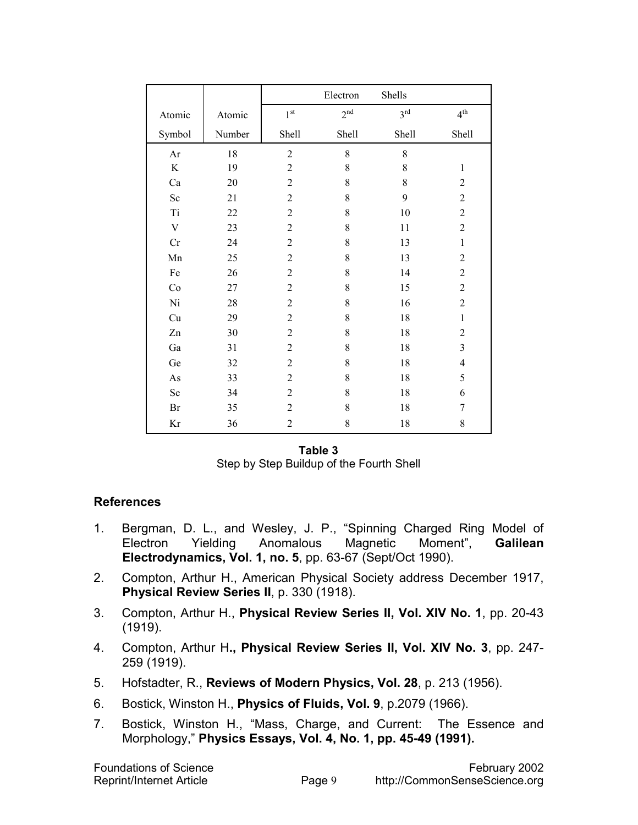|                           |        | Electron        |                 | Shells          |                         |
|---------------------------|--------|-----------------|-----------------|-----------------|-------------------------|
| Atomic                    | Atomic | 1 <sup>st</sup> | 2 <sup>nd</sup> | 3 <sup>rd</sup> | $4^{\text{th}}$         |
| Symbol                    | Number | Shell           | Shell           | Shell           | Shell                   |
| Ar                        | 18     | $\overline{2}$  | $\,8\,$         | 8               |                         |
| $\rm K$                   | 19     | $\overline{2}$  | $\,8\,$         | 8               | $\mathbf{1}$            |
| Ca                        | 20     | $\overline{2}$  | 8               | 8               | $\overline{2}$          |
| Sc                        | 21     | $\overline{2}$  | 8               | 9               | $\overline{c}$          |
| Ti                        | 22     | $\overline{2}$  | $\,8\,$         | $10\,$          | $\overline{2}$          |
| $\ensuremath{\mathbf{V}}$ | 23     | $\overline{2}$  | 8               | 11              | $\overline{2}$          |
| Cr                        | 24     | $\overline{2}$  | 8               | 13              | $\mathbf{1}$            |
| Mn                        | 25     | $\overline{2}$  | 8               | 13              | $\overline{2}$          |
| Fe                        | 26     | $\overline{2}$  | $\,8\,$         | 14              | $\overline{2}$          |
| Co                        | 27     | $\overline{2}$  | 8               | 15              | $\overline{2}$          |
| Ni                        | 28     | $\overline{2}$  | 8               | 16              | $\overline{2}$          |
| Cu                        | 29     | $\overline{2}$  | 8               | 18              | $\mathbf{1}$            |
| Zn                        | 30     | $\overline{2}$  | 8               | 18              | $\overline{c}$          |
| Ga                        | 31     | $\overline{2}$  | 8               | 18              | $\overline{\mathbf{3}}$ |
| Ge                        | 32     | $\overline{2}$  | 8               | 18              | $\overline{4}$          |
| $\mathbf{A}\mathbf{s}$    | 33     | $\overline{2}$  | 8               | 18              | 5                       |
| Se                        | 34     | $\overline{2}$  | 8               | 18              | 6                       |
| Br                        | 35     | $\overline{2}$  | 8               | 18              | 7                       |
| Kr                        | 36     | $\overline{2}$  | $\,8\,$         | 18              | 8                       |

**Table 3**  Step by Step Buildup of the Fourth Shell

## **References**

- 1. Bergman, D. L., and Wesley, J. P., "Spinning Charged Ring Model of Electron Yielding Anomalous Magnetic Moment", **Galilean Electrodynamics, Vol. 1, no. 5**, pp. 63-67 (Sept/Oct 1990).
- 2. Compton, Arthur H., American Physical Society address December 1917, **Physical Review Series II**, p. 330 (1918).
- 3. Compton, Arthur H., **Physical Review Series II, Vol. XIV No. 1**, pp. 20-43 (1919).
- 4. Compton, Arthur H**., Physical Review Series II, Vol. XIV No. 3**, pp. 247- 259 (1919).
- 5. Hofstadter, R., **Reviews of Modern Physics, Vol. 28**, p. 213 (1956).
- 6. Bostick, Winston H., **Physics of Fluids, Vol. 9**, p.2079 (1966).
- 7. Bostick, Winston H., "Mass, Charge, and Current: The Essence and Morphology," **Physics Essays, Vol. 4, No. 1, pp. 45-49 (1991).**